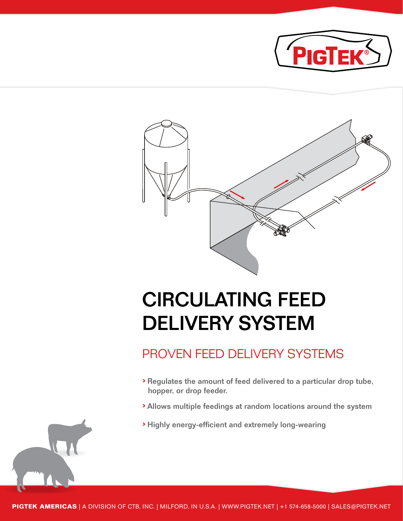



## CIRCULATING FEED DELIVERY SYSTEM

### PROVEN FEED DELIVERY SYSTEMS

- › Regulates the amount of feed delivered to a particular drop tube, hopper, or drop feeder.
- › Allows multiple feedings at random locations around the system
- › Highly energy-efficient and extremely long-wearing